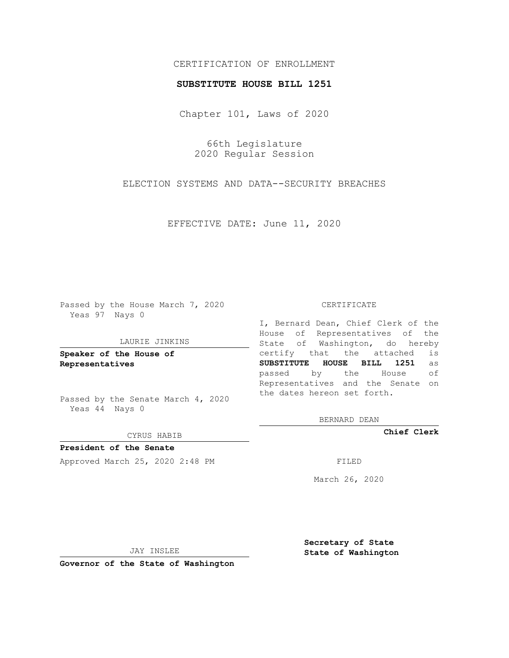## CERTIFICATION OF ENROLLMENT

### **SUBSTITUTE HOUSE BILL 1251**

Chapter 101, Laws of 2020

66th Legislature 2020 Regular Session

ELECTION SYSTEMS AND DATA--SECURITY BREACHES

EFFECTIVE DATE: June 11, 2020

Passed by the House March 7, 2020 Yeas 97 Nays 0

#### LAURIE JINKINS

**Speaker of the House of Representatives**

Passed by the Senate March 4, 2020 Yeas 44 Nays 0

#### CYRUS HABIB

**President of the Senate** Approved March 25, 2020 2:48 PM

#### CERTIFICATE

I, Bernard Dean, Chief Clerk of the House of Representatives of the State of Washington, do hereby certify that the attached is **SUBSTITUTE HOUSE BILL 1251** as passed by the House of Representatives and the Senate on the dates hereon set forth.

BERNARD DEAN

**Chief Clerk**

March 26, 2020

JAY INSLEE

**Governor of the State of Washington**

**Secretary of State State of Washington**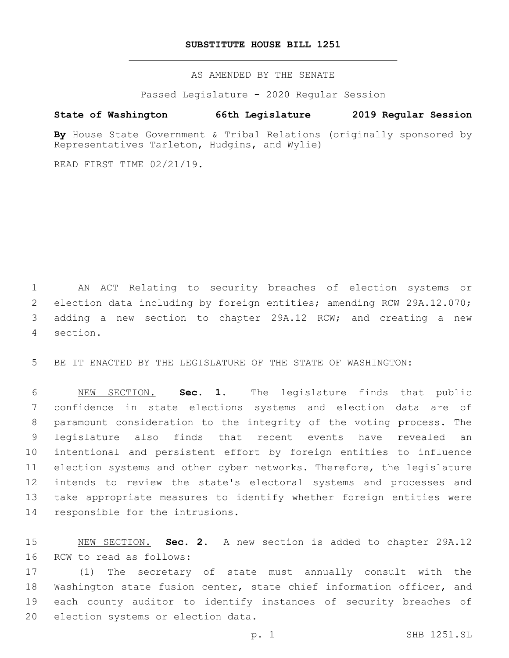## **SUBSTITUTE HOUSE BILL 1251**

AS AMENDED BY THE SENATE

Passed Legislature - 2020 Regular Session

# **State of Washington 66th Legislature 2019 Regular Session**

By House State Government & Tribal Relations (originally sponsored by Representatives Tarleton, Hudgins, and Wylie)

READ FIRST TIME 02/21/19.

 AN ACT Relating to security breaches of election systems or election data including by foreign entities; amending RCW 29A.12.070; adding a new section to chapter 29A.12 RCW; and creating a new section.4

BE IT ENACTED BY THE LEGISLATURE OF THE STATE OF WASHINGTON:

 NEW SECTION. **Sec. 1.** The legislature finds that public confidence in state elections systems and election data are of paramount consideration to the integrity of the voting process. The legislature also finds that recent events have revealed an intentional and persistent effort by foreign entities to influence election systems and other cyber networks. Therefore, the legislature intends to review the state's electoral systems and processes and take appropriate measures to identify whether foreign entities were responsible for the intrusions.

 NEW SECTION. **Sec. 2.** A new section is added to chapter 29A.12 16 RCW to read as follows:

 (1) The secretary of state must annually consult with the Washington state fusion center, state chief information officer, and each county auditor to identify instances of security breaches of 20 election systems or election data.